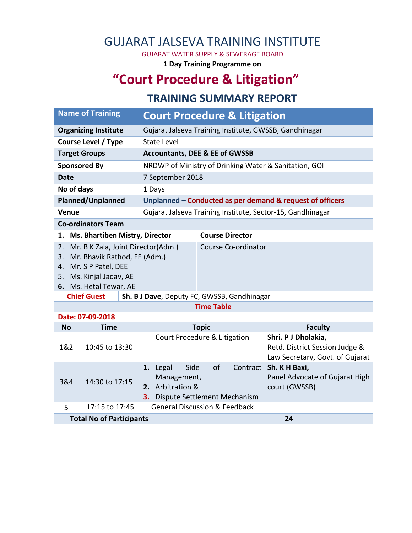## GUJARAT JALSEVA TRAINING INSTITUTE

GUJARAT WATER SUPPLY & SEWERAGE BOARD

**1 Day Training Programme on**

# **"Court Procedure & Litigation"**

#### **TRAINING SUMMARY REPORT**

| <b>Name of Training</b>                                                                                                                                            |                                                                             | <b>Court Procedure &amp; Litigation</b>                    |                                                |                                                                                          |  |  |  |  |  |
|--------------------------------------------------------------------------------------------------------------------------------------------------------------------|-----------------------------------------------------------------------------|------------------------------------------------------------|------------------------------------------------|------------------------------------------------------------------------------------------|--|--|--|--|--|
| <b>Organizing Institute</b>                                                                                                                                        |                                                                             | Gujarat Jalseva Training Institute, GWSSB, Gandhinagar     |                                                |                                                                                          |  |  |  |  |  |
| <b>Course Level / Type</b>                                                                                                                                         |                                                                             | <b>State Level</b>                                         |                                                |                                                                                          |  |  |  |  |  |
| <b>Target Groups</b>                                                                                                                                               |                                                                             | <b>Accountants, DEE &amp; EE of GWSSB</b>                  |                                                |                                                                                          |  |  |  |  |  |
| <b>Sponsored By</b>                                                                                                                                                |                                                                             | NRDWP of Ministry of Drinking Water & Sanitation, GOI      |                                                |                                                                                          |  |  |  |  |  |
| <b>Date</b>                                                                                                                                                        |                                                                             | 7 September 2018                                           |                                                |                                                                                          |  |  |  |  |  |
| No of days                                                                                                                                                         |                                                                             | 1 Days                                                     |                                                |                                                                                          |  |  |  |  |  |
| <b>Planned/Unplanned</b>                                                                                                                                           |                                                                             | Unplanned - Conducted as per demand & request of officers  |                                                |                                                                                          |  |  |  |  |  |
| Venue                                                                                                                                                              |                                                                             | Gujarat Jalseva Training Institute, Sector-15, Gandhinagar |                                                |                                                                                          |  |  |  |  |  |
| <b>Co-ordinators Team</b>                                                                                                                                          |                                                                             |                                                            |                                                |                                                                                          |  |  |  |  |  |
| 1. Ms. Bhartiben Mistry, Director                                                                                                                                  |                                                                             |                                                            | <b>Course Director</b>                         |                                                                                          |  |  |  |  |  |
| Mr. B K Zala, Joint Director(Adm.)<br>2.<br>Mr. Bhavik Rathod, EE (Adm.)<br>3.<br>Mr. S P Patel, DEE<br>4.<br>Ms. Kinjal Jadav, AE<br>5.<br>6. Ms. Hetal Tewar, AE |                                                                             |                                                            | Course Co-ordinator                            |                                                                                          |  |  |  |  |  |
| <b>Chief Guest</b>                                                                                                                                                 |                                                                             | Sh. B J Dave, Deputy FC, GWSSB, Gandhinagar                |                                                |                                                                                          |  |  |  |  |  |
| <b>Time Table</b>                                                                                                                                                  |                                                                             |                                                            |                                                |                                                                                          |  |  |  |  |  |
|                                                                                                                                                                    | Date: 07-09-2018                                                            |                                                            |                                                |                                                                                          |  |  |  |  |  |
| <b>No</b>                                                                                                                                                          | <b>Time</b>                                                                 | <b>Topic</b>                                               |                                                | <b>Faculty</b>                                                                           |  |  |  |  |  |
| 1&2<br>10:45 to 13:30                                                                                                                                              |                                                                             | Court Procedure & Litigation                               |                                                | Shri. P J Dholakia,<br>Retd. District Session Judge &<br>Law Secretary, Govt. of Gujarat |  |  |  |  |  |
| 3&4                                                                                                                                                                | Side<br>1. Legal<br>Management,<br>14:30 to 17:15<br>2. Arbitration &<br>3. |                                                            | of<br>Contract<br>Dispute Settlement Mechanism | Sh. K H Baxi,<br>Panel Advocate of Gujarat High<br>court (GWSSB)                         |  |  |  |  |  |
| 5                                                                                                                                                                  | 17:15 to 17:45                                                              |                                                            | <b>General Discussion &amp; Feedback</b>       |                                                                                          |  |  |  |  |  |
|                                                                                                                                                                    | <b>Total No of Participants</b>                                             |                                                            | 24                                             |                                                                                          |  |  |  |  |  |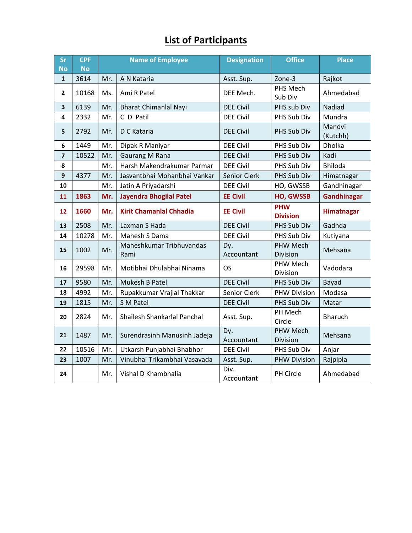### **List of Participants**

| Sr                      | <b>CPF</b> | <b>Name of Employee</b> |                                  | <b>Designation</b>  | <b>Office</b>                 | <b>Place</b>       |
|-------------------------|------------|-------------------------|----------------------------------|---------------------|-------------------------------|--------------------|
| <b>No</b>               | <b>No</b>  |                         |                                  |                     |                               |                    |
| $\mathbf{1}$            | 3614       | Mr.                     | A N Kataria                      | Asst. Sup.          | Zone-3                        | Rajkot             |
| $\mathbf{2}$            | 10168      | Ms.                     | Ami R Patel                      | DEE Mech.           | PHS Mech<br>Sub Div           | Ahmedabad          |
| 3                       | 6139       | Mr.                     | <b>Bharat Chimanlal Nayi</b>     | <b>DEE Civil</b>    | PHS sub Div                   | Nadiad             |
| 4                       | 2332       | Mr.                     | C D Patil                        | <b>DEE Civil</b>    | PHS Sub Div                   | Mundra             |
| 5                       | 2792       | Mr.                     | D C Kataria                      | <b>DEE Civil</b>    | PHS Sub Div                   | Mandvi<br>(Kutchh) |
| 6                       | 1449       | Mr.                     | Dipak R Maniyar                  | <b>DEE Civil</b>    | PHS Sub Div                   | Dholka             |
| $\overline{\mathbf{z}}$ | 10522      | Mr.                     | <b>Gaurang M Rana</b>            | <b>DEE Civil</b>    | PHS Sub Div                   | Kadi               |
| 8                       |            | Mr.                     | Harsh Makendrakumar Parmar       | <b>DEE Civil</b>    | PHS Sub Div                   | <b>Bhiloda</b>     |
| 9                       | 4377       | Mr.                     | Jasvantbhai Mohanbhai Vankar     | <b>Senior Clerk</b> | PHS Sub Div                   | Himatnagar         |
| 10                      |            | Mr.                     | Jatin A Priyadarshi              | <b>DEE Civil</b>    | HO, GWSSB                     | Gandhinagar        |
| 11                      | 1863       | Mr.                     | <b>Jayendra Bhogilal Patel</b>   | <b>EE Civil</b>     | <b>HO, GWSSB</b>              | <b>Gandhinagar</b> |
| 12                      | 1660       | Mr.                     | <b>Kirit Chamanlal Chhadia</b>   | <b>EE Civil</b>     | <b>PHW</b><br><b>Division</b> | Himatnagar         |
| 13                      | 2508       | Mr.                     | Laxman S Hada                    | <b>DEE Civil</b>    | PHS Sub Div                   | Gadhda             |
| 14                      | 10278      | Mr.                     | Mahesh S Dama                    | <b>DEE Civil</b>    | PHS Sub Div                   | Kutiyana           |
| 15                      | 1002       | Mr.                     | Maheshkumar Tribhuvandas<br>Rami | Dy.<br>Accountant   | PHW Mech<br>Division          | Mehsana            |
| 16                      | 29598      | Mr.                     | Motibhai Dhulabhai Ninama        | <b>OS</b>           | PHW Mech<br>Division          | Vadodara           |
| 17                      | 9580       | Mr.                     | Mukesh B Patel                   | <b>DEE Civil</b>    | PHS Sub Div                   | Bayad              |
| 18                      | 4992       | Mr.                     | Rupakkumar Vrajlal Thakkar       | Senior Clerk        | <b>PHW Division</b>           | Modasa             |
| 19                      | 1815       | Mr.                     | S M Patel                        | <b>DEE Civil</b>    | PHS Sub Div                   | Matar              |
| 20                      | 2824       | Mr.                     | Shailesh Shankarlal Panchal      | Asst. Sup.          | PH Mech<br>Circle             | <b>Bharuch</b>     |
| 21                      | 1487       | Mr.                     | Surendrasinh Manusinh Jadeja     | Dy.<br>Accountant   | PHW Mech<br>Division          | Mehsana            |
| 22                      | 10516      | Mr.                     | Utkarsh Punjabhai Bhabhor        | <b>DEE Civil</b>    | PHS Sub Div                   | Anjar              |
| 23                      | 1007       | Mr.                     | Vinubhai Trikambhai Vasavada     | Asst. Sup.          | <b>PHW Division</b>           | Rajpipla           |
| 24                      |            | Mr.                     | Vishal D Khambhalia              | Div.<br>Accountant  | PH Circle                     | Ahmedabad          |